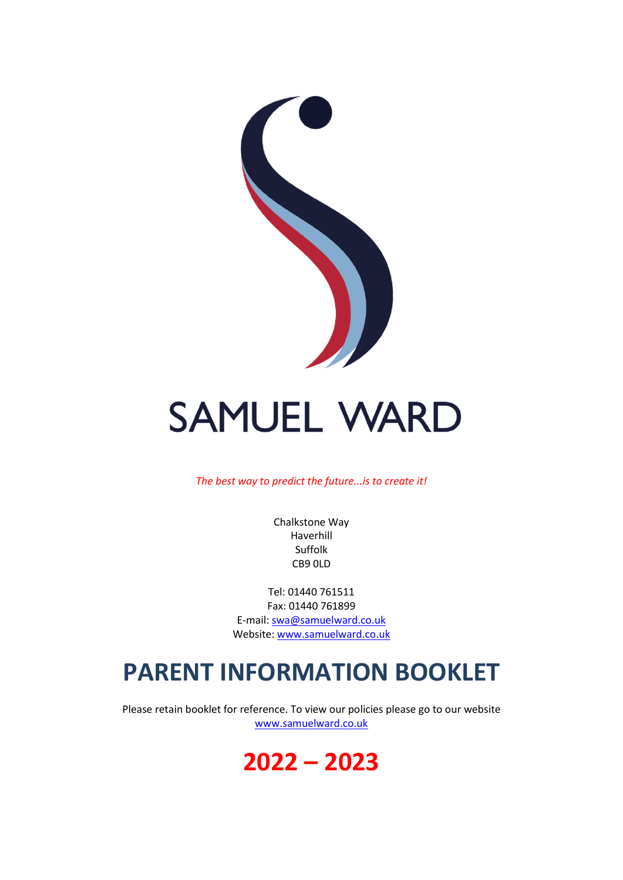

# **SAMUEL WARD**

*The best way to predict the future...is to create it!*

Chalkstone Way Haverhill Suffolk CB9 0LD

Tel: 01440 761511 Fax: 01440 761899 E-mail: [swa@samuelward.co.uk](mailto:swa@samuelward.co.uk) Website: [www.samuelward.co.uk](http://www.samuelward.co.uk/)

# **PARENT INFORMATION BOOKLET**

Please retain booklet for reference. To view our policies please go to our website [www.samuelward.co.uk](http://www.samuelward.co.uk/)

# **2022 – 2023**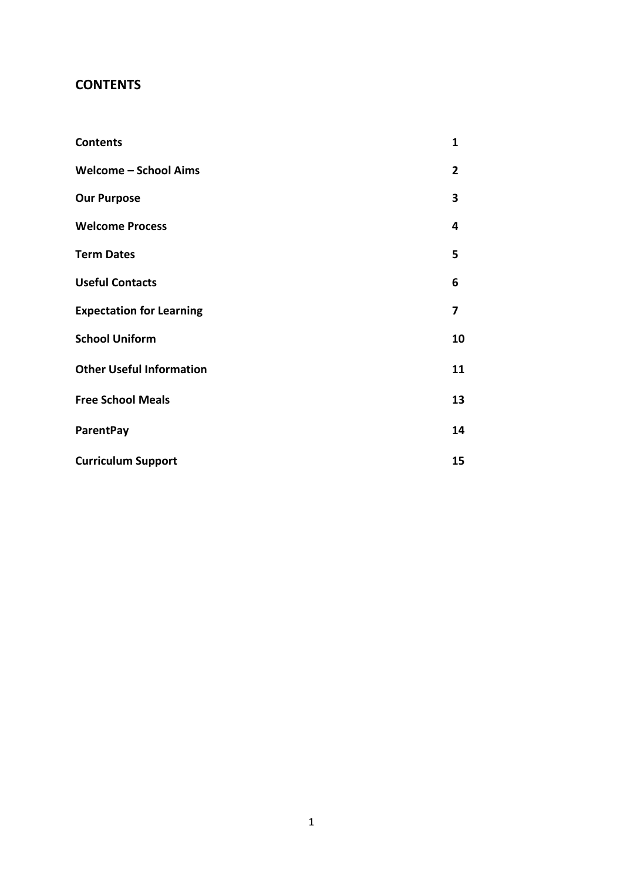## **CONTENTS**

| <b>Contents</b>                 | 1  |
|---------------------------------|----|
| <b>Welcome - School Aims</b>    | 2  |
| <b>Our Purpose</b>              | 3  |
| <b>Welcome Process</b>          | 4  |
| <b>Term Dates</b>               | 5  |
| <b>Useful Contacts</b>          | 6  |
| <b>Expectation for Learning</b> | 7  |
| <b>School Uniform</b>           | 10 |
| <b>Other Useful Information</b> | 11 |
| <b>Free School Meals</b>        | 13 |
| <b>ParentPay</b>                | 14 |
| <b>Curriculum Support</b>       | 15 |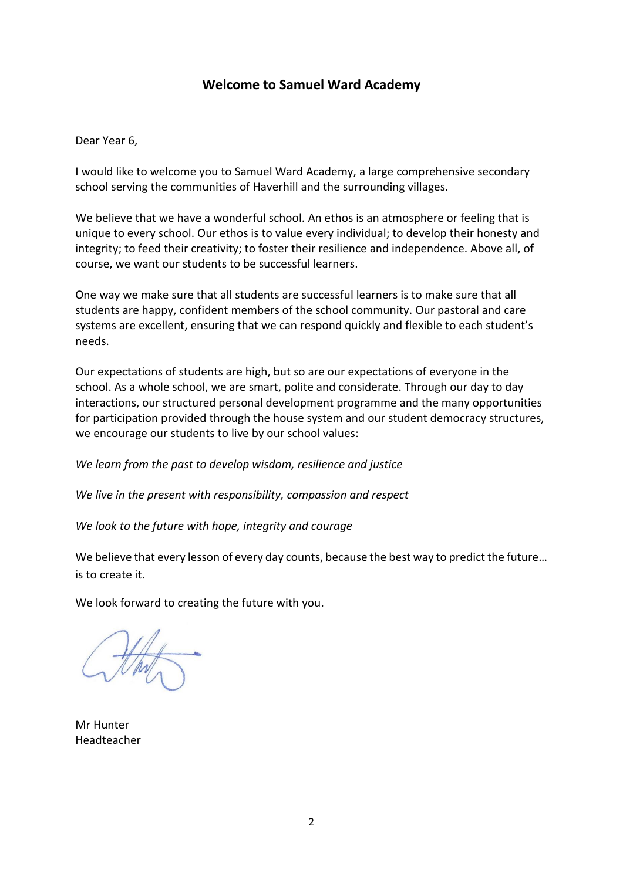#### **Welcome to Samuel Ward Academy**

Dear Year 6,

I would like to welcome you to Samuel Ward Academy, a large comprehensive secondary school serving the communities of Haverhill and the surrounding villages.

We believe that we have a wonderful school. An ethos is an atmosphere or feeling that is unique to every school. Our ethos is to value every individual; to develop their honesty and integrity; to feed their creativity; to foster their resilience and independence. Above all, of course, we want our students to be successful learners.

One way we make sure that all students are successful learners is to make sure that all students are happy, confident members of the school community. Our pastoral and care systems are excellent, ensuring that we can respond quickly and flexible to each student's needs.

Our expectations of students are high, but so are our expectations of everyone in the school. As a whole school, we are smart, polite and considerate. Through our day to day interactions, our structured personal development programme and the many opportunities for participation provided through the house system and our student democracy structures, we encourage our students to live by our school values:

*We learn from the past to develop wisdom, resilience and justice*

*We live in the present with responsibility, compassion and respect*

*We look to the future with hope, integrity and courage*

We believe that every lesson of every day counts, because the best way to predict the future... is to create it.

We look forward to creating the future with you.

Mr Hunter Headteacher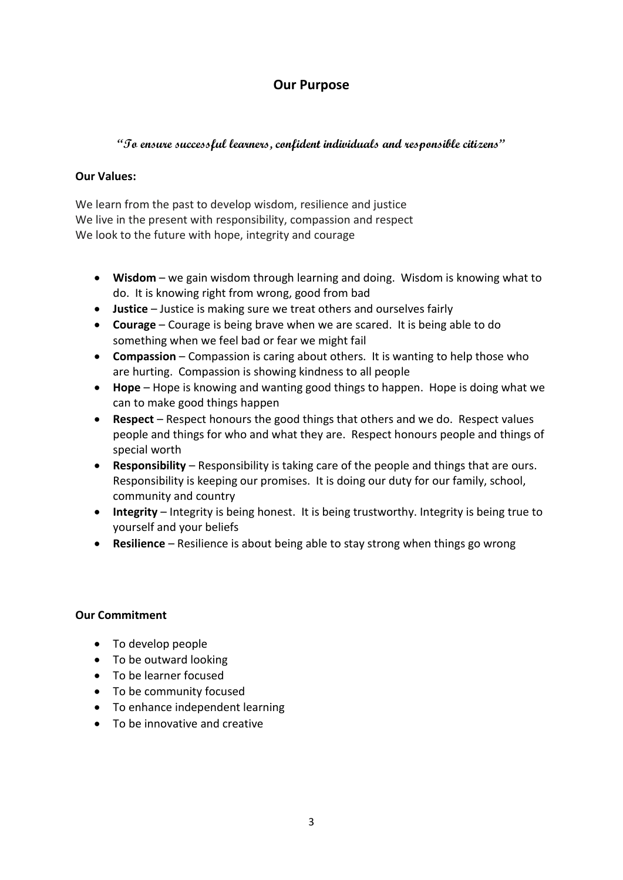# **Our Purpose**

#### **"To ensure successful learners, confident individuals and responsible citizens"**

#### **Our Values:**

We learn from the past to develop wisdom, resilience and justice We live in the present with responsibility, compassion and respect We look to the future with hope, integrity and courage

- **Wisdom** we gain wisdom through learning and doing. Wisdom is knowing what to do. It is knowing right from wrong, good from bad
- **Justice** Justice is making sure we treat others and ourselves fairly
- **Courage** Courage is being brave when we are scared. It is being able to do something when we feel bad or fear we might fail
- **Compassion** Compassion is caring about others. It is wanting to help those who are hurting. Compassion is showing kindness to all people
- **Hope** Hope is knowing and wanting good things to happen. Hope is doing what we can to make good things happen
- **Respect** Respect honours the good things that others and we do. Respect values people and things for who and what they are. Respect honours people and things of special worth
- **Responsibility**  Responsibility is taking care of the people and things that are ours. Responsibility is keeping our promises. It is doing our duty for our family, school, community and country
- **Integrity** Integrity is being honest. It is being trustworthy. Integrity is being true to yourself and your beliefs
- **Resilience**  Resilience is about being able to stay strong when things go wrong

#### **Our Commitment**

- To develop people
- To be outward looking
- To be learner focused
- To be community focused
- To enhance independent learning
- To be innovative and creative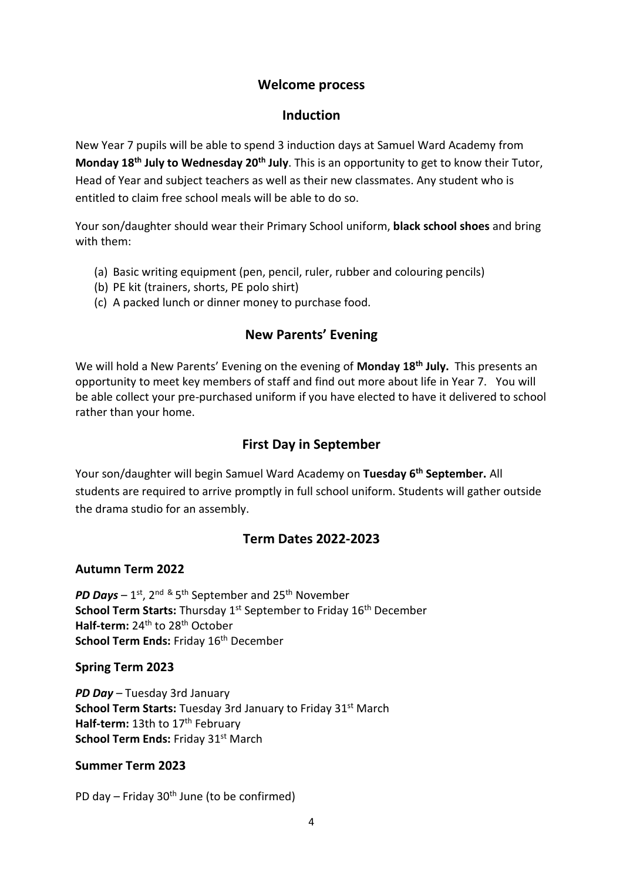#### **Welcome process**

#### **Induction**

New Year 7 pupils will be able to spend 3 induction days at Samuel Ward Academy from **Monday 18 th July to Wednesday 20th July**. This is an opportunity to get to know their Tutor, Head of Year and subject teachers as well as their new classmates. Any student who is entitled to claim free school meals will be able to do so.

Your son/daughter should wear their Primary School uniform, **black school shoes** and bring with them:

- (a) Basic writing equipment (pen, pencil, ruler, rubber and colouring pencils)
- (b) PE kit (trainers, shorts, PE polo shirt)
- (c) A packed lunch or dinner money to purchase food.

## **New Parents' Evening**

We will hold a New Parents' Evening on the evening of **Monday 18th July.** This presents an opportunity to meet key members of staff and find out more about life in Year 7.You will be able collect your pre-purchased uniform if you have elected to have it delivered to school rather than your home.

# **First Day in September**

Your son/daughter will begin Samuel Ward Academy on **Tuesday 6 th September.** All students are required to arrive promptly in full school uniform. Students will gather outside the drama studio for an assembly.

# **Term Dates 2022-2023**

#### **Autumn Term 2022**

PD Days – 1<sup>st</sup>, 2<sup>nd &</sup> 5<sup>th</sup> September and 25<sup>th</sup> November **School Term Starts:** Thursday 1<sup>st</sup> September to Friday 16<sup>th</sup> December Half-term: 24<sup>th</sup> to 28<sup>th</sup> October School Term Ends: Friday 16<sup>th</sup> December

#### **Spring Term 2023**

*PD Day* – Tuesday 3rd January **School Term Starts: Tuesday 3rd January to Friday 31st March** Half-term: 13th to 17<sup>th</sup> February School Term Ends: Friday 31<sup>st</sup> March

#### **Summer Term 2023**

PD day – Friday  $30<sup>th</sup>$  June (to be confirmed)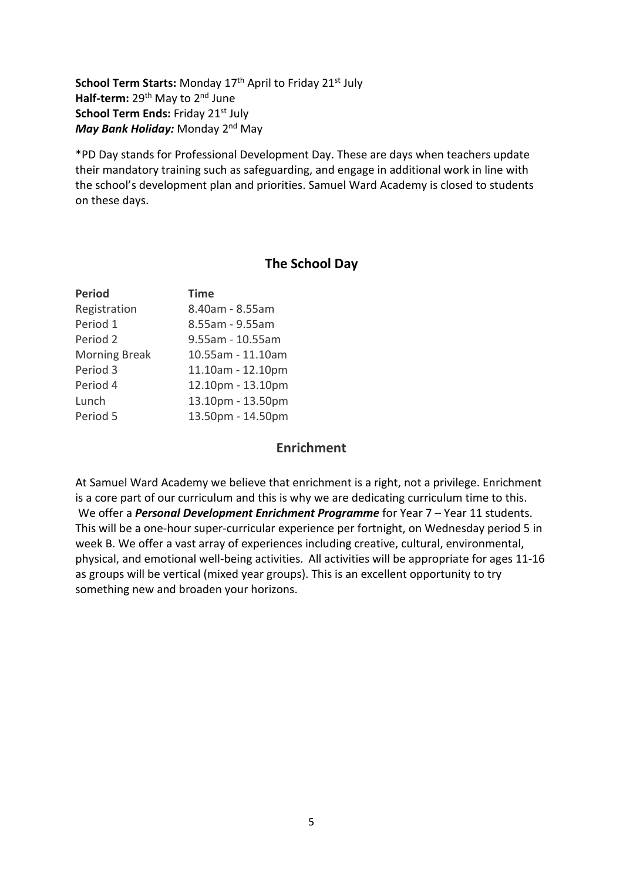**School Term Starts:** Monday 17<sup>th</sup> April to Friday 21<sup>st</sup> July **Half-term:** 29<sup>th</sup> May to 2<sup>nd</sup> June **School Term Ends: Friday 21st July** May Bank Holiday: Monday 2<sup>nd</sup> May

\*PD Day stands for Professional Development Day. These are days when teachers update their mandatory training such as safeguarding, and engage in additional work in line with the school's development plan and priorities. Samuel Ward Academy is closed to students on these days.

#### **The School Day**

| <b>Period</b>        | <b>Time</b>       |
|----------------------|-------------------|
| Registration         | 8.40am - 8.55am   |
| Period 1             | 8.55am - 9.55am   |
| Period 2             | 9.55am - 10.55am  |
| <b>Morning Break</b> | 10.55am - 11.10am |
| Period 3             | 11.10am - 12.10pm |
| Period 4             | 12.10pm - 13.10pm |
| Lunch                | 13.10pm - 13.50pm |
| Period 5             | 13.50pm - 14.50pm |

#### **Enrichment**

At Samuel Ward Academy we believe that enrichment is a right, not a privilege. Enrichment is a core part of our curriculum and this is why we are dedicating curriculum time to this. We offer a *Personal Development Enrichment Programme* for Year 7 – Year 11 students. This will be a one-hour super-curricular experience per fortnight, on Wednesday period 5 in week B. We offer a vast array of experiences including creative, cultural, environmental, physical, and emotional well-being activities. All activities will be appropriate for ages 11-16 as groups will be vertical (mixed year groups). This is an excellent opportunity to try something new and broaden your horizons.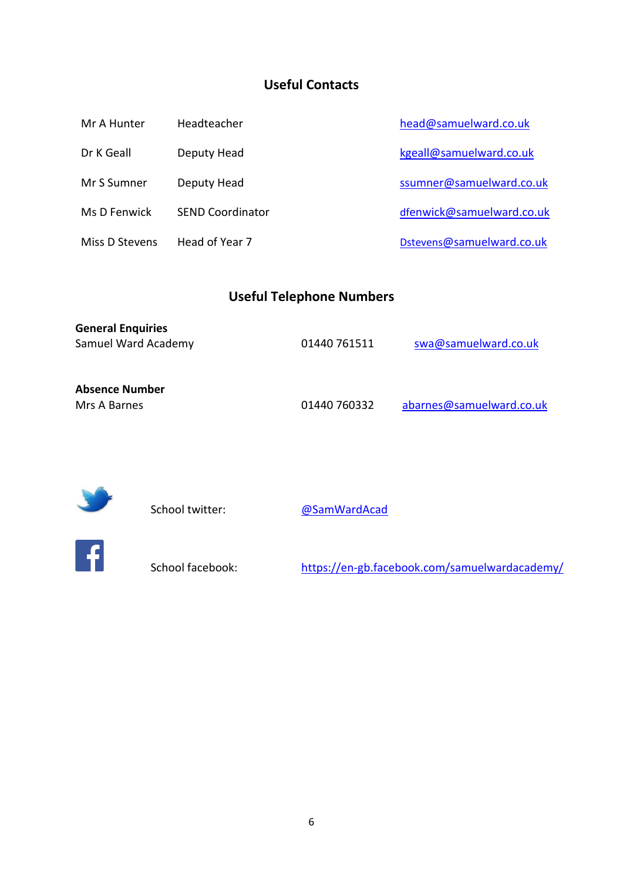# **Useful Contacts**

| Mr A Hunter    | Headteacher             | head@samuelward.co.uk     |
|----------------|-------------------------|---------------------------|
| Dr K Geall     | Deputy Head             | kgeall@samuelward.co.uk   |
| Mr S Sumner    | Deputy Head             | ssumner@samuelward.co.uk  |
| Ms D Fenwick   | <b>SEND Coordinator</b> | dfenwick@samuelward.co.uk |
| Miss D Stevens | Head of Year 7          | Dstevens@samuelward.co.uk |

# **Useful Telephone Numbers**

| <b>General Enquiries</b> |              |                          |
|--------------------------|--------------|--------------------------|
| Samuel Ward Academy      | 01440 761511 | swa@samuelward.co.uk     |
|                          |              |                          |
| <b>Absence Number</b>    |              |                          |
| Mrs A Barnes             | 01440 760332 | abarnes@samuelward.co.uk |



School twitter: **@SamWardAcad** 



School facebook: <https://en-gb.facebook.com/samuelwardacademy/>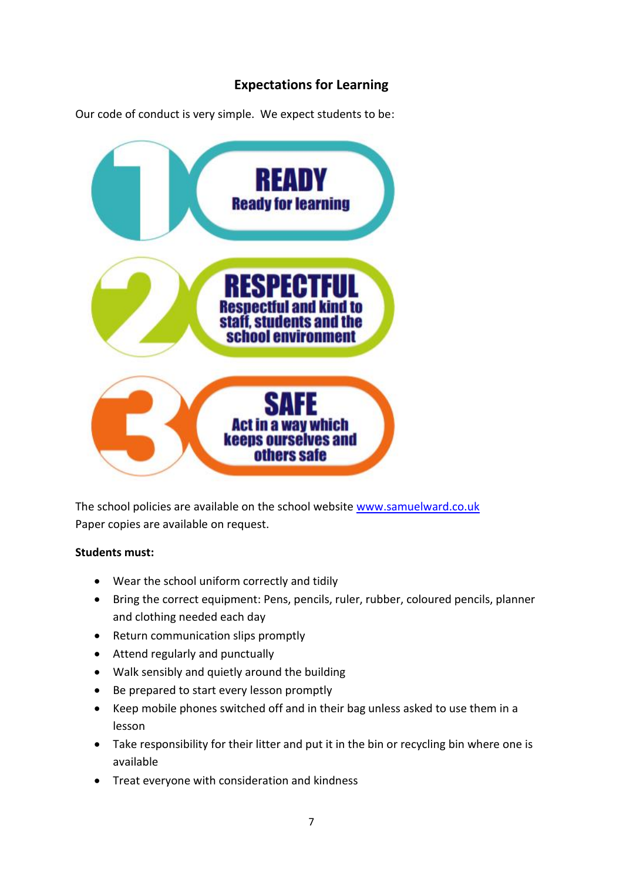# **Expectations for Learning**

Our code of conduct is very simple. We expect students to be:



The school policies are available on the school website [www.samuelward.co.uk](http://www.samuelward.co.uk/) Paper copies are available on request.

#### **Students must:**

- Wear the school uniform correctly and tidily
- Bring the correct equipment: Pens, pencils, ruler, rubber, coloured pencils, planner and clothing needed each day
- Return communication slips promptly
- Attend regularly and punctually
- Walk sensibly and quietly around the building
- Be prepared to start every lesson promptly
- Keep mobile phones switched off and in their bag unless asked to use them in a lesson
- Take responsibility for their litter and put it in the bin or recycling bin where one is available
- Treat everyone with consideration and kindness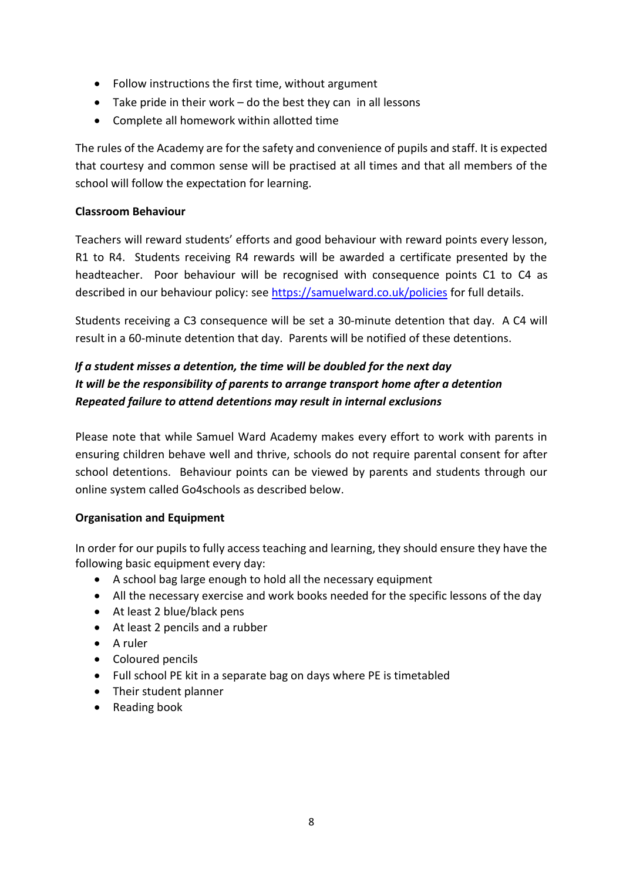- Follow instructions the first time, without argument
- Take pride in their work do the best they can in all lessons
- Complete all homework within allotted time

The rules of the Academy are for the safety and convenience of pupils and staff. It is expected that courtesy and common sense will be practised at all times and that all members of the school will follow the expectation for learning.

#### **Classroom Behaviour**

Teachers will reward students' efforts and good behaviour with reward points every lesson, R1 to R4. Students receiving R4 rewards will be awarded a certificate presented by the headteacher. Poor behaviour will be recognised with consequence points C1 to C4 as described in our behaviour policy: see<https://samuelward.co.uk/policies> for full details.

Students receiving a C3 consequence will be set a 30-minute detention that day. A C4 will result in a 60-minute detention that day. Parents will be notified of these detentions.

# *If a student misses a detention, the time will be doubled for the next day It will be the responsibility of parents to arrange transport home after a detention Repeated failure to attend detentions may result in internal exclusions*

Please note that while Samuel Ward Academy makes every effort to work with parents in ensuring children behave well and thrive, schools do not require parental consent for after school detentions. Behaviour points can be viewed by parents and students through our online system called Go4schools as described below.

#### **Organisation and Equipment**

In order for our pupils to fully access teaching and learning, they should ensure they have the following basic equipment every day:

- A school bag large enough to hold all the necessary equipment
- All the necessary exercise and work books needed for the specific lessons of the day
- At least 2 blue/black pens
- At least 2 pencils and a rubber
- A ruler
- Coloured pencils
- Full school PE kit in a separate bag on days where PE is timetabled
- Their student planner
- Reading book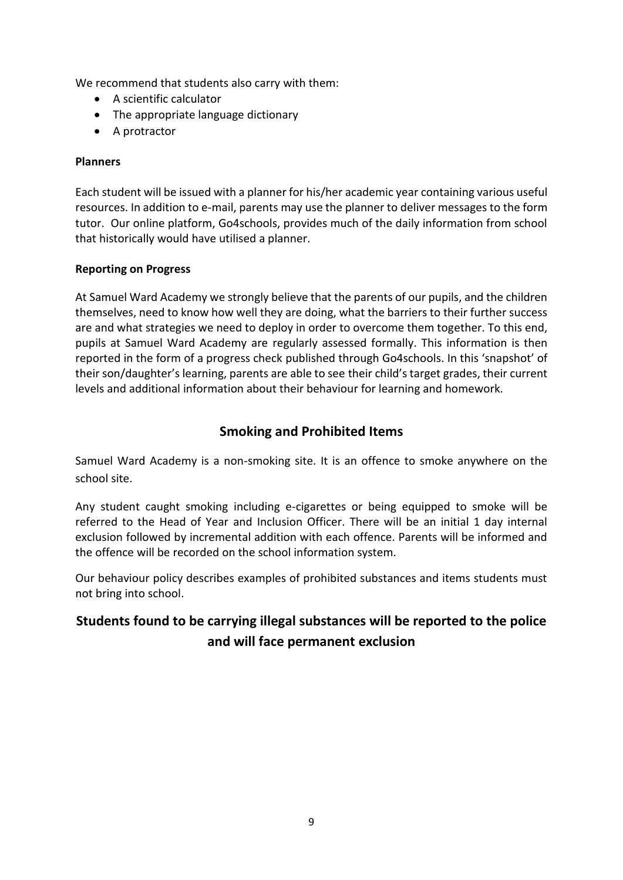We recommend that students also carry with them:

- A scientific calculator
- The appropriate language dictionary
- A protractor

#### **Planners**

Each student will be issued with a planner for his/her academic year containing various useful resources. In addition to e-mail, parents may use the planner to deliver messages to the form tutor. Our online platform, Go4schools, provides much of the daily information from school that historically would have utilised a planner.

#### **Reporting on Progress**

At Samuel Ward Academy we strongly believe that the parents of our pupils, and the children themselves, need to know how well they are doing, what the barriers to their further success are and what strategies we need to deploy in order to overcome them together. To this end, pupils at Samuel Ward Academy are regularly assessed formally. This information is then reported in the form of a progress check published through Go4schools. In this 'snapshot' of their son/daughter's learning, parents are able to see their child's target grades, their current levels and additional information about their behaviour for learning and homework.

#### **Smoking and Prohibited Items**

Samuel Ward Academy is a non-smoking site. It is an offence to smoke anywhere on the school site.

Any student caught smoking including e-cigarettes or being equipped to smoke will be referred to the Head of Year and Inclusion Officer. There will be an initial 1 day internal exclusion followed by incremental addition with each offence. Parents will be informed and the offence will be recorded on the school information system.

Our behaviour policy describes examples of prohibited substances and items students must not bring into school.

# **Students found to be carrying illegal substances will be reported to the police and will face permanent exclusion**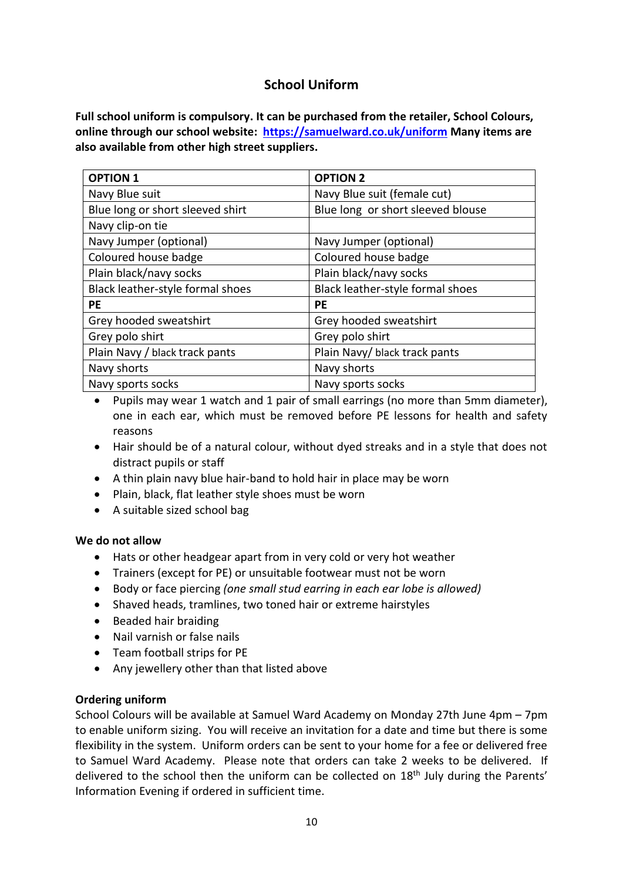## **School Uniform**

**Full school uniform is compulsory. It can be purchased from the retailer, School Colours, online through our school website: <https://samuelward.co.uk/uniform> Many items are also available from other high street suppliers.**

| <b>OPTION 1</b>                  | <b>OPTION 2</b>                   |  |
|----------------------------------|-----------------------------------|--|
| Navy Blue suit                   | Navy Blue suit (female cut)       |  |
| Blue long or short sleeved shirt | Blue long or short sleeved blouse |  |
| Navy clip-on tie                 |                                   |  |
| Navy Jumper (optional)           | Navy Jumper (optional)            |  |
| Coloured house badge             | Coloured house badge              |  |
| Plain black/navy socks           | Plain black/navy socks            |  |
| Black leather-style formal shoes | Black leather-style formal shoes  |  |
| PE                               | <b>PE</b>                         |  |
| Grey hooded sweatshirt           | Grey hooded sweatshirt            |  |
| Grey polo shirt                  | Grey polo shirt                   |  |
| Plain Navy / black track pants   | Plain Navy/ black track pants     |  |
| Navy shorts                      | Navy shorts                       |  |
| Navy sports socks                | Navy sports socks                 |  |

• Pupils may wear 1 watch and 1 pair of small earrings (no more than 5mm diameter), one in each ear, which must be removed before PE lessons for health and safety reasons

- Hair should be of a natural colour, without dyed streaks and in a style that does not distract pupils or staff
- A thin plain navy blue hair-band to hold hair in place may be worn
- Plain, black, flat leather style shoes must be worn
- A suitable sized school bag

#### **We do not allow**

- Hats or other headgear apart from in very cold or very hot weather
- Trainers (except for PE) or unsuitable footwear must not be worn
- Body or face piercing *(one small stud earring in each ear lobe is allowed)*
- Shaved heads, tramlines, two toned hair or extreme hairstyles
- Beaded hair braiding
- Nail varnish or false nails
- Team football strips for PE
- Any jewellery other than that listed above

#### **Ordering uniform**

School Colours will be available at Samuel Ward Academy on Monday 27th June 4pm – 7pm to enable uniform sizing. You will receive an invitation for a date and time but there is some flexibility in the system. Uniform orders can be sent to your home for a fee or delivered free to Samuel Ward Academy. Please note that orders can take 2 weeks to be delivered. If delivered to the school then the uniform can be collected on 18<sup>th</sup> July during the Parents' Information Evening if ordered in sufficient time.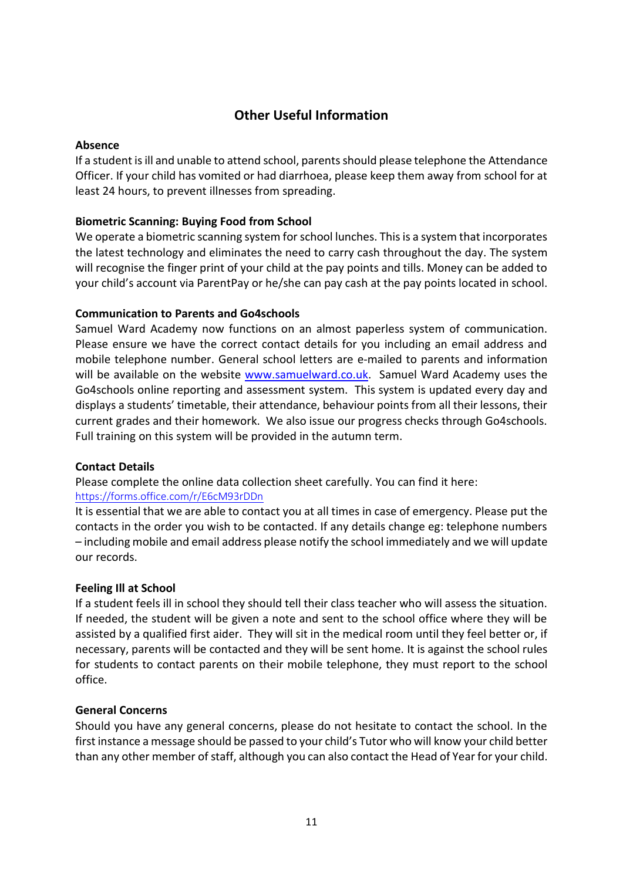# **Other Useful Information**

#### **Absence**

If a student is ill and unable to attend school, parents should please telephone the Attendance Officer. If your child has vomited or had diarrhoea, please keep them away from school for at least 24 hours, to prevent illnesses from spreading.

#### **Biometric Scanning: Buying Food from School**

We operate a biometric scanning system for school lunches. This is a system that incorporates the latest technology and eliminates the need to carry cash throughout the day. The system will recognise the finger print of your child at the pay points and tills. Money can be added to your child's account via ParentPay or he/she can pay cash at the pay points located in school.

#### **Communication to Parents and Go4schools**

Samuel Ward Academy now functions on an almost paperless system of communication. Please ensure we have the correct contact details for you including an email address and mobile telephone number. General school letters are e-mailed to parents and information will be available on the website [www.samuelward.co.uk.](http://www.samuelward.co.uk/) Samuel Ward Academy uses the Go4schools online reporting and assessment system. This system is updated every day and displays a students' timetable, their attendance, behaviour points from all their lessons, their current grades and their homework. We also issue our progress checks through Go4schools. Full training on this system will be provided in the autumn term.

#### **Contact Details**

Please complete the online data collection sheet carefully. You can find it here: <https://forms.office.com/r/E6cM93rDDn>

It is essential that we are able to contact you at all times in case of emergency. Please put the contacts in the order you wish to be contacted. If any details change eg: telephone numbers – including mobile and email address please notify the school immediately and we will update our records.

#### **Feeling Ill at School**

If a student feels ill in school they should tell their class teacher who will assess the situation. If needed, the student will be given a note and sent to the school office where they will be assisted by a qualified first aider. They will sit in the medical room until they feel better or, if necessary, parents will be contacted and they will be sent home. It is against the school rules for students to contact parents on their mobile telephone, they must report to the school office.

#### **General Concerns**

Should you have any general concerns, please do not hesitate to contact the school. In the first instance a message should be passed to your child's Tutor who will know your child better than any other member of staff, although you can also contact the Head of Year for your child.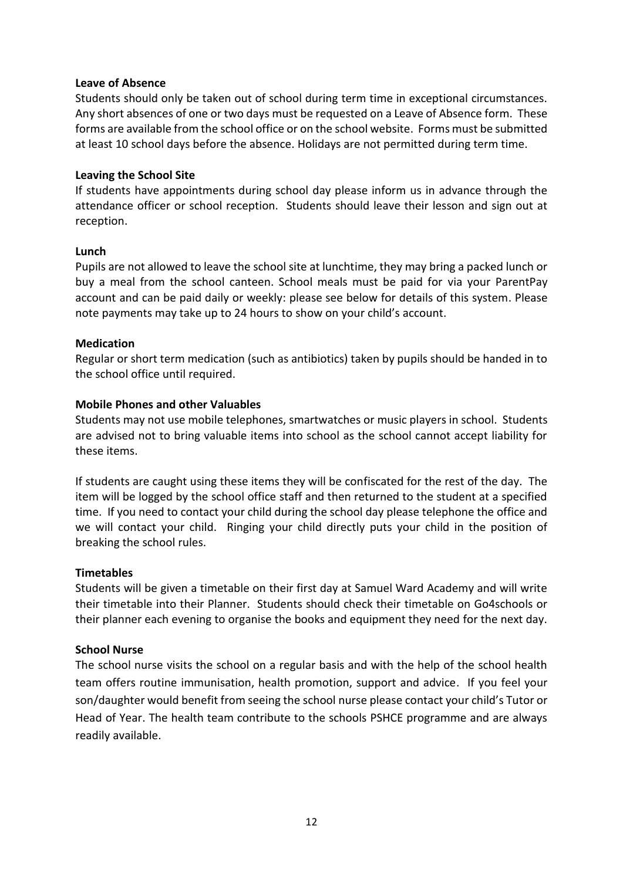#### **Leave of Absence**

Students should only be taken out of school during term time in exceptional circumstances. Any short absences of one or two days must be requested on a Leave of Absence form. These forms are available from the school office or on the school website. Forms must be submitted at least 10 school days before the absence. Holidays are not permitted during term time.

#### **Leaving the School Site**

If students have appointments during school day please inform us in advance through the attendance officer or school reception. Students should leave their lesson and sign out at reception.

#### **Lunch**

Pupils are not allowed to leave the school site at lunchtime, they may bring a packed lunch or buy a meal from the school canteen. School meals must be paid for via your ParentPay account and can be paid daily or weekly: please see below for details of this system. Please note payments may take up to 24 hours to show on your child's account.

#### **Medication**

Regular or short term medication (such as antibiotics) taken by pupils should be handed in to the school office until required.

#### **Mobile Phones and other Valuables**

Students may not use mobile telephones, smartwatches or music players in school. Students are advised not to bring valuable items into school as the school cannot accept liability for these items.

If students are caught using these items they will be confiscated for the rest of the day. The item will be logged by the school office staff and then returned to the student at a specified time. If you need to contact your child during the school day please telephone the office and we will contact your child. Ringing your child directly puts your child in the position of breaking the school rules.

#### **Timetables**

Students will be given a timetable on their first day at Samuel Ward Academy and will write their timetable into their Planner. Students should check their timetable on Go4schools or their planner each evening to organise the books and equipment they need for the next day.

#### **School Nurse**

The school nurse visits the school on a regular basis and with the help of the school health team offers routine immunisation, health promotion, support and advice. If you feel your son/daughter would benefit from seeing the school nurse please contact your child's Tutor or Head of Year. The health team contribute to the schools PSHCE programme and are always readily available.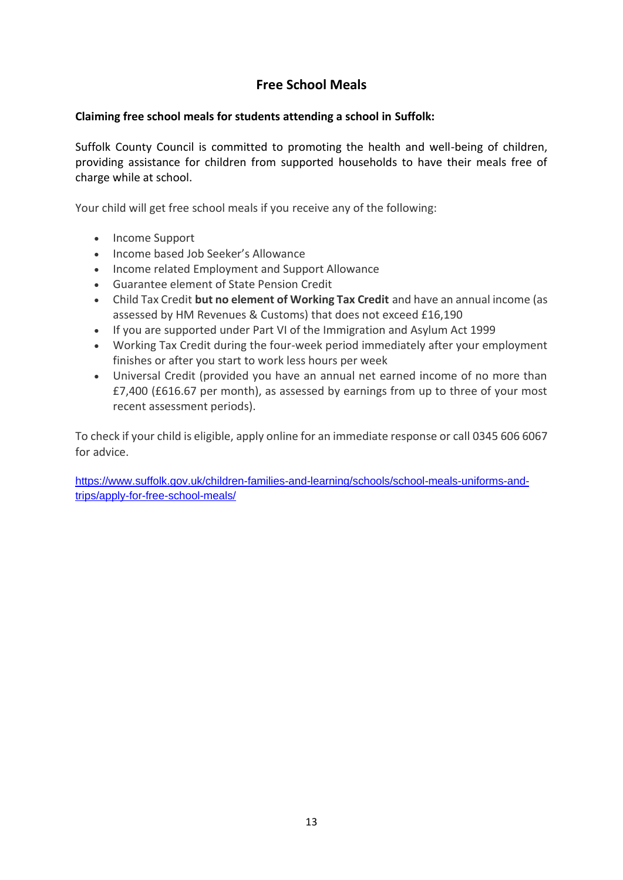# **Free School Meals**

#### **Claiming free school meals for students attending a school in Suffolk:**

Suffolk County Council is committed to promoting the health and well-being of children, providing assistance for children from supported households to have their meals free of charge while at school.

Your child will get free school meals if you receive any of the following:

- Income Support
- Income based Job Seeker's Allowance
- Income related Employment and Support Allowance
- Guarantee element of State Pension Credit
- Child Tax Credit **but no element of Working Tax Credit** and have an annual income (as assessed by HM Revenues & Customs) that does not exceed £16,190
- If you are supported under Part VI of the Immigration and Asylum Act 1999
- Working Tax Credit during the four-week period immediately after your employment finishes or after you start to work less hours per week
- Universal Credit (provided you have an annual net earned income of no more than £7,400 (£616.67 per month), as assessed by earnings from up to three of your most recent assessment periods).

To check if your child is eligible, apply online for an immediate response or call 0345 606 6067 for advice.

[https://www.suffolk.gov.uk/children-families-and-learning/schools/school-meals-uniforms-and](https://www.suffolk.gov.uk/children-families-and-learning/schools/school-meals-uniforms-and-trips/apply-for-free-school-meals/)[trips/apply-for-free-school-meals/](https://www.suffolk.gov.uk/children-families-and-learning/schools/school-meals-uniforms-and-trips/apply-for-free-school-meals/)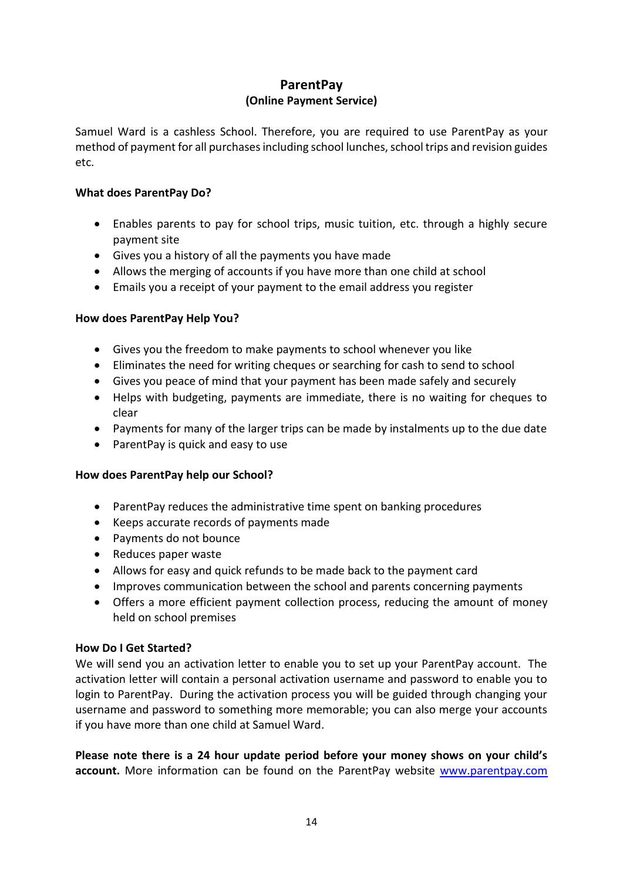#### **ParentPay (Online Payment Service)**

Samuel Ward is a cashless School. Therefore, you are required to use ParentPay as your method of payment for all purchases including school lunches, school trips and revision guides etc.

#### **What does ParentPay Do?**

- Enables parents to pay for school trips, music tuition, etc. through a highly secure payment site
- Gives you a history of all the payments you have made
- Allows the merging of accounts if you have more than one child at school
- Emails you a receipt of your payment to the email address you register

#### **How does ParentPay Help You?**

- Gives you the freedom to make payments to school whenever you like
- Eliminates the need for writing cheques or searching for cash to send to school
- Gives you peace of mind that your payment has been made safely and securely
- Helps with budgeting, payments are immediate, there is no waiting for cheques to clear
- Payments for many of the larger trips can be made by instalments up to the due date
- ParentPay is quick and easy to use

#### **How does ParentPay help our School?**

- ParentPay reduces the administrative time spent on banking procedures
- Keeps accurate records of payments made
- Payments do not bounce
- Reduces paper waste
- Allows for easy and quick refunds to be made back to the payment card
- Improves communication between the school and parents concerning payments
- Offers a more efficient payment collection process, reducing the amount of money held on school premises

#### **How Do I Get Started?**

We will send you an activation letter to enable you to set up your ParentPay account. The activation letter will contain a personal activation username and password to enable you to login to ParentPay. During the activation process you will be guided through changing your username and password to something more memorable; you can also merge your accounts if you have more than one child at Samuel Ward.

**Please note there is a 24 hour update period before your money shows on your child's account.** More information can be found on the ParentPay website [www.parentpay.com](http://www.parentpay.com/)